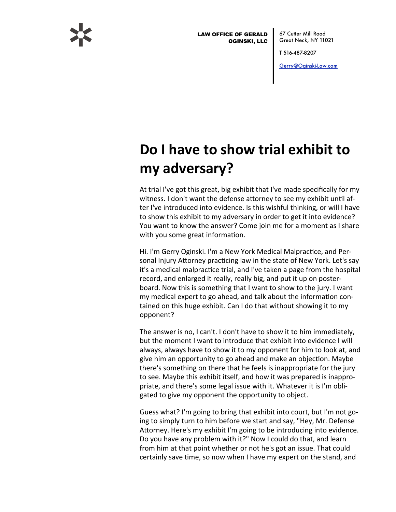

LAW OFFICE OF GERALD OGINSKI, LLC

67 Cutter Mill Road Great Neck, NY 11021

T 516-487-8207

[Gerry@Oginski-Law.com](mailto:Gerry@Oginski-Law.com)

## **Do I have to show trial exhibit to my#adversary?**

At trial I've got this great, big exhibit that I've made specifically for my witness. I don't want the defense attorney to see my exhibit until after I've introduced into evidence. Is this wishful thinking, or will I have to show this exhibit to my adversary in order to get it into evidence? You want to know the answer? Come join me for a moment as I share with you some great information.

Hi. I'm Gerry Oginski. I'm a New York Medical Malpractice, and Personal Injury Attorney practicing law in the state of New York. Let's say it's a medical malpractice trial, and I've taken a page from the hospital record, and enlarged it really, really big, and put it up on posterboard. Now this is something that I want to show to the jury. I want my medical expert to go ahead, and talk about the information contained on this huge exhibit. Can I do that without showing it to my opponent?#

The answer is no, I can't. I don't have to show it to him immediately, but the moment I want to introduce that exhibit into evidence I will always, always have to show it to my opponent for him to look at, and give him an opportunity to go ahead and make an objection. Maybe there's something on there that he feels is inappropriate for the jury to see. Maybe this exhibit itself, and how it was prepared is inappropriate, and there's some legal issue with it. Whatever it is I'm obligated to give my opponent the opportunity to object.

Guess what? I'm going to bring that exhibit into court, but I'm not going to simply turn to him before we start and say, "Hey, Mr. Defense Attorney. Here's my exhibit I'm going to be introducing into evidence. Do you have any problem with it?" Now I could do that, and learn from him at that point whether or not he's got an issue. That could certainly save time, so now when I have my expert on the stand, and